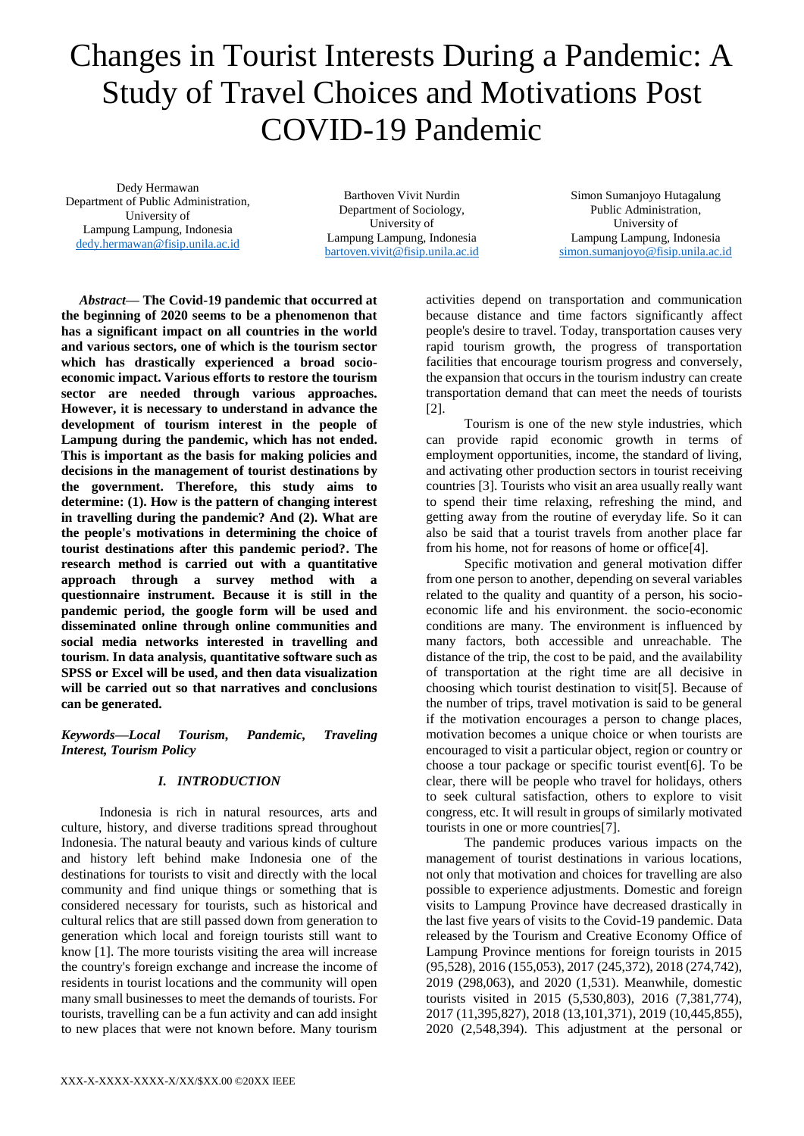# Changes in Tourist Interests During a Pandemic: A Study of Travel Choices and Motivations Post COVID-19 Pandemic

Dedy Hermawan Department of Public Administration, University of Lampung Lampung, Indonesia [dedy.hermawan@fisip.unila.ac.id](mailto:dedy.hermawan@fisip.unila.ac.id)

Barthoven Vivit Nurdin Department of Sociology, University of Lampung Lampung, Indonesia [bartoven.vivit@fisip.unila.ac.id](mailto:bartoven.vivit@fisip.unila.ac.id)

Simon Sumanjoyo Hutagalung Public Administration, University of Lampung Lampung, Indonesia [simon.sumanjoyo@fisip.unila.ac.id](mailto:simon.sumanjoyo@fisip.unila.ac.id)

*Abstract***— The Covid-19 pandemic that occurred at the beginning of 2020 seems to be a phenomenon that has a significant impact on all countries in the world and various sectors, one of which is the tourism sector which has drastically experienced a broad socioeconomic impact. Various efforts to restore the tourism sector are needed through various approaches. However, it is necessary to understand in advance the development of tourism interest in the people of Lampung during the pandemic, which has not ended. This is important as the basis for making policies and decisions in the management of tourist destinations by the government. Therefore, this study aims to determine: (1). How is the pattern of changing interest in travelling during the pandemic? And (2). What are the people's motivations in determining the choice of tourist destinations after this pandemic period?. The research method is carried out with a quantitative approach through a survey method with a questionnaire instrument. Because it is still in the pandemic period, the google form will be used and disseminated online through online communities and social media networks interested in travelling and tourism. In data analysis, quantitative software such as SPSS or Excel will be used, and then data visualization will be carried out so that narratives and conclusions can be generated.**

## *Keywords—Local Tourism, Pandemic, Traveling Interest, Tourism Policy*

## *I. INTRODUCTION*

Indonesia is rich in natural resources, arts and culture, history, and diverse traditions spread throughout Indonesia. The natural beauty and various kinds of culture and history left behind make Indonesia one of the destinations for tourists to visit and directly with the local community and find unique things or something that is considered necessary for tourists, such as historical and cultural relics that are still passed down from generation to generation which local and foreign tourists still want to know [1]. The more tourists visiting the area will increase the country's foreign exchange and increase the income of residents in tourist locations and the community will open many small businesses to meet the demands of tourists. For tourists, travelling can be a fun activity and can add insight to new places that were not known before. Many tourism

activities depend on transportation and communication because distance and time factors significantly affect people's desire to travel. Today, transportation causes very rapid tourism growth, the progress of transportation facilities that encourage tourism progress and conversely, the expansion that occurs in the tourism industry can create transportation demand that can meet the needs of tourists [2].

Tourism is one of the new style industries, which can provide rapid economic growth in terms of employment opportunities, income, the standard of living, and activating other production sectors in tourist receiving countries [3]. Tourists who visit an area usually really want to spend their time relaxing, refreshing the mind, and getting away from the routine of everyday life. So it can also be said that a tourist travels from another place far from his home, not for reasons of home or office[4].

Specific motivation and general motivation differ from one person to another, depending on several variables related to the quality and quantity of a person, his socioeconomic life and his environment. the socio-economic conditions are many. The environment is influenced by many factors, both accessible and unreachable. The distance of the trip, the cost to be paid, and the availability of transportation at the right time are all decisive in choosing which tourist destination to visit[5]. Because of the number of trips, travel motivation is said to be general if the motivation encourages a person to change places, motivation becomes a unique choice or when tourists are encouraged to visit a particular object, region or country or choose a tour package or specific tourist event[6]. To be clear, there will be people who travel for holidays, others to seek cultural satisfaction, others to explore to visit congress, etc. It will result in groups of similarly motivated tourists in one or more countries[7].

The pandemic produces various impacts on the management of tourist destinations in various locations, not only that motivation and choices for travelling are also possible to experience adjustments. Domestic and foreign visits to Lampung Province have decreased drastically in the last five years of visits to the Covid-19 pandemic. Data released by the Tourism and Creative Economy Office of Lampung Province mentions for foreign tourists in 2015 (95,528), 2016 (155,053), 2017 (245,372), 2018 (274,742), 2019 (298,063), and 2020 (1,531). Meanwhile, domestic tourists visited in 2015 (5,530,803), 2016 (7,381,774), 2017 (11,395,827), 2018 (13,101,371), 2019 (10,445,855), 2020 (2,548,394). This adjustment at the personal or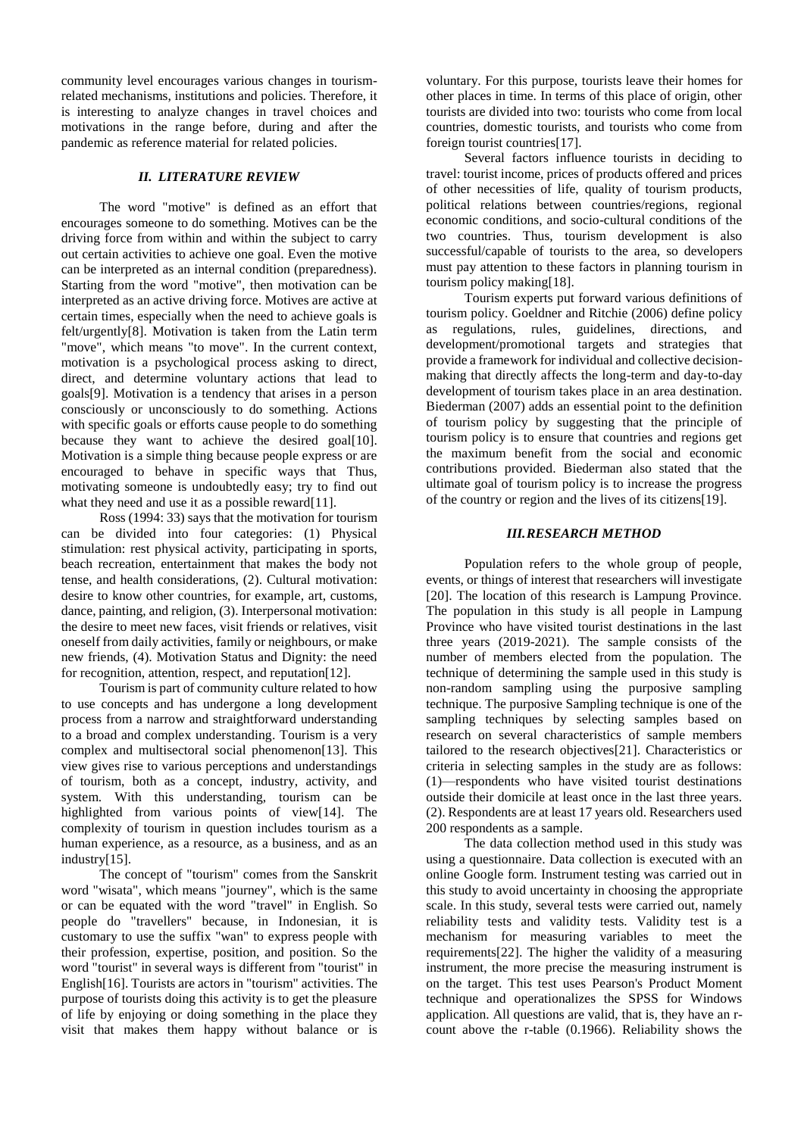community level encourages various changes in tourismrelated mechanisms, institutions and policies. Therefore, it is interesting to analyze changes in travel choices and motivations in the range before, during and after the pandemic as reference material for related policies.

## *II. LITERATURE REVIEW*

The word "motive" is defined as an effort that encourages someone to do something. Motives can be the driving force from within and within the subject to carry out certain activities to achieve one goal. Even the motive can be interpreted as an internal condition (preparedness). Starting from the word "motive", then motivation can be interpreted as an active driving force. Motives are active at certain times, especially when the need to achieve goals is felt/urgently[8]. Motivation is taken from the Latin term "move", which means "to move". In the current context, motivation is a psychological process asking to direct, direct, and determine voluntary actions that lead to goals[9]. Motivation is a tendency that arises in a person consciously or unconsciously to do something. Actions with specific goals or efforts cause people to do something because they want to achieve the desired goal[10]. Motivation is a simple thing because people express or are encouraged to behave in specific ways that Thus, motivating someone is undoubtedly easy; try to find out what they need and use it as a possible reward[11].

Ross (1994: 33) says that the motivation for tourism can be divided into four categories: (1) Physical stimulation: rest physical activity, participating in sports, beach recreation, entertainment that makes the body not tense, and health considerations, (2). Cultural motivation: desire to know other countries, for example, art, customs, dance, painting, and religion, (3). Interpersonal motivation: the desire to meet new faces, visit friends or relatives, visit oneself from daily activities, family or neighbours, or make new friends, (4). Motivation Status and Dignity: the need for recognition, attention, respect, and reputation[12].

Tourism is part of community culture related to how to use concepts and has undergone a long development process from a narrow and straightforward understanding to a broad and complex understanding. Tourism is a very complex and multisectoral social phenomenon[13]. This view gives rise to various perceptions and understandings of tourism, both as a concept, industry, activity, and system. With this understanding, tourism can be highlighted from various points of view[14]. The complexity of tourism in question includes tourism as a human experience, as a resource, as a business, and as an industry[15].

The concept of "tourism" comes from the Sanskrit word "wisata", which means "journey", which is the same or can be equated with the word "travel" in English. So people do "travellers" because, in Indonesian, it is customary to use the suffix "wan" to express people with their profession, expertise, position, and position. So the word "tourist" in several ways is different from "tourist" in English[16]. Tourists are actors in "tourism" activities. The purpose of tourists doing this activity is to get the pleasure of life by enjoying or doing something in the place they visit that makes them happy without balance or is

voluntary. For this purpose, tourists leave their homes for other places in time. In terms of this place of origin, other tourists are divided into two: tourists who come from local countries, domestic tourists, and tourists who come from foreign tourist countries[17].

Several factors influence tourists in deciding to travel: tourist income, prices of products offered and prices of other necessities of life, quality of tourism products, political relations between countries/regions, regional economic conditions, and socio-cultural conditions of the two countries. Thus, tourism development is also successful/capable of tourists to the area, so developers must pay attention to these factors in planning tourism in tourism policy making[18].

Tourism experts put forward various definitions of tourism policy. Goeldner and Ritchie (2006) define policy as regulations, rules, guidelines, directions, and development/promotional targets and strategies that provide a framework for individual and collective decisionmaking that directly affects the long-term and day-to-day development of tourism takes place in an area destination. Biederman (2007) adds an essential point to the definition of tourism policy by suggesting that the principle of tourism policy is to ensure that countries and regions get the maximum benefit from the social and economic contributions provided. Biederman also stated that the ultimate goal of tourism policy is to increase the progress of the country or region and the lives of its citizens[19].

#### *III.RESEARCH METHOD*

Population refers to the whole group of people, events, or things of interest that researchers will investigate [20]. The location of this research is Lampung Province. The population in this study is all people in Lampung Province who have visited tourist destinations in the last three years (2019-2021). The sample consists of the number of members elected from the population. The technique of determining the sample used in this study is non-random sampling using the purposive sampling technique. The purposive Sampling technique is one of the sampling techniques by selecting samples based on research on several characteristics of sample members tailored to the research objectives[21]. Characteristics or criteria in selecting samples in the study are as follows: (1)—respondents who have visited tourist destinations outside their domicile at least once in the last three years. (2). Respondents are at least 17 years old. Researchers used 200 respondents as a sample.

The data collection method used in this study was using a questionnaire. Data collection is executed with an online Google form. Instrument testing was carried out in this study to avoid uncertainty in choosing the appropriate scale. In this study, several tests were carried out, namely reliability tests and validity tests. Validity test is a mechanism for measuring variables to meet the requirements[22]. The higher the validity of a measuring instrument, the more precise the measuring instrument is on the target. This test uses Pearson's Product Moment technique and operationalizes the SPSS for Windows application. All questions are valid, that is, they have an rcount above the r-table (0.1966). Reliability shows the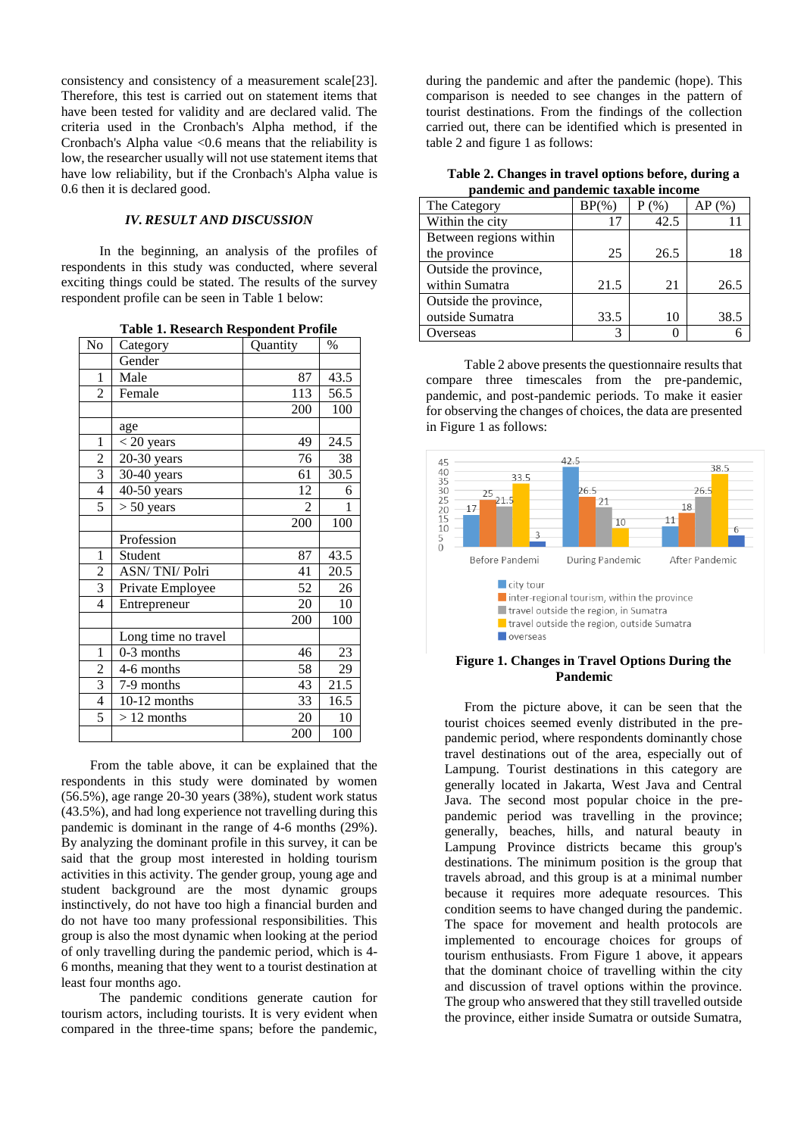consistency and consistency of a measurement scale[23]. Therefore, this test is carried out on statement items that have been tested for validity and are declared valid. The criteria used in the Cronbach's Alpha method, if the Cronbach's Alpha value  $\leq 0.6$  means that the reliability is low, the researcher usually will not use statement items that have low reliability, but if the Cronbach's Alpha value is 0.6 then it is declared good.

## *IV. RESULT AND DISCUSSION*

In the beginning, an analysis of the profiles of respondents in this study was conducted, where several exciting things could be stated. The results of the survey respondent profile can be seen in Table 1 below:

**Table 1. Research Respondent Profile**

| No             | Category            | Quantity | $\%$              |
|----------------|---------------------|----------|-------------------|
|                | Gender              |          |                   |
| 1              | Male                | 87       | 43.5              |
| $\overline{2}$ | Female              | 113      | 56.5              |
|                |                     | 200      | 100               |
|                | age                 |          |                   |
| $\mathbf{1}$   | $<$ 20 years        | 49       | 24.5              |
| $\overline{2}$ | $20-30$ years       | 76       | 38                |
| 3              | 30-40 years         | 61       | 30.5              |
| $\overline{4}$ | 40-50 years         | 12       | 6                 |
| 5              | $> 50$ years        | 2        | 1                 |
|                |                     | 200      | 100               |
|                | Profession          |          |                   |
| $\mathbf{1}$   | Student             | 87       | 43.5              |
| $\overline{c}$ | ASN/TNI/Polri       | 41       | 20.5              |
| $\overline{3}$ | Private Employee    | 52       | 26                |
| $\overline{4}$ | Entrepreneur        | 20       | 10                |
|                |                     | 200      | 100               |
|                | Long time no travel |          |                   |
| 1              | 0-3 months          | 46       | 23                |
| 2              | 4-6 months          | 58       | 29                |
| $\overline{3}$ | 7-9 months          | 43       | $\overline{21.5}$ |
| 4              | $10-12$ months      | 33       | 16.5              |
| 5              | $>12$ months        | 20       | 10                |
|                |                     | 200      | 100               |

From the table above, it can be explained that the respondents in this study were dominated by women (56.5%), age range 20-30 years (38%), student work status (43.5%), and had long experience not travelling during this pandemic is dominant in the range of 4-6 months (29%). By analyzing the dominant profile in this survey, it can be said that the group most interested in holding tourism activities in this activity. The gender group, young age and student background are the most dynamic groups instinctively, do not have too high a financial burden and do not have too many professional responsibilities. This group is also the most dynamic when looking at the period of only travelling during the pandemic period, which is 4- 6 months, meaning that they went to a tourist destination at least four months ago.

The pandemic conditions generate caution for tourism actors, including tourists. It is very evident when compared in the three-time spans; before the pandemic,

during the pandemic and after the pandemic (hope). This comparison is needed to see changes in the pattern of tourist destinations. From the findings of the collection carried out, there can be identified which is presented in table 2 and figure 1 as follows:

**Table 2. Changes in travel options before, during a pandemic and pandemic taxable income**

| The Category           | $BP(\%)$ | (96) | $AP($ %) |
|------------------------|----------|------|----------|
| Within the city        | 17       | 42.5 |          |
| Between regions within |          |      |          |
| the province           | 25       | 26.5 | 18       |
| Outside the province,  |          |      |          |
| within Sumatra         | 21.5     | 21   | 26.5     |
| Outside the province,  |          |      |          |
| outside Sumatra        | 33.5     | 10   | 38.5     |
| Overseas               |          |      |          |

Table 2 above presents the questionnaire results that compare three timescales from the pre-pandemic, pandemic, and post-pandemic periods. To make it easier for observing the changes of choices, the data are presented in Figure 1 as follows:



### **Figure 1. Changes in Travel Options During the Pandemic**

From the picture above, it can be seen that the tourist choices seemed evenly distributed in the prepandemic period, where respondents dominantly chose travel destinations out of the area, especially out of Lampung. Tourist destinations in this category are generally located in Jakarta, West Java and Central Java. The second most popular choice in the prepandemic period was travelling in the province; generally, beaches, hills, and natural beauty in Lampung Province districts became this group's destinations. The minimum position is the group that travels abroad, and this group is at a minimal number because it requires more adequate resources. This condition seems to have changed during the pandemic. The space for movement and health protocols are implemented to encourage choices for groups of tourism enthusiasts. From Figure 1 above, it appears that the dominant choice of travelling within the city and discussion of travel options within the province. The group who answered that they still travelled outside the province, either inside Sumatra or outside Sumatra,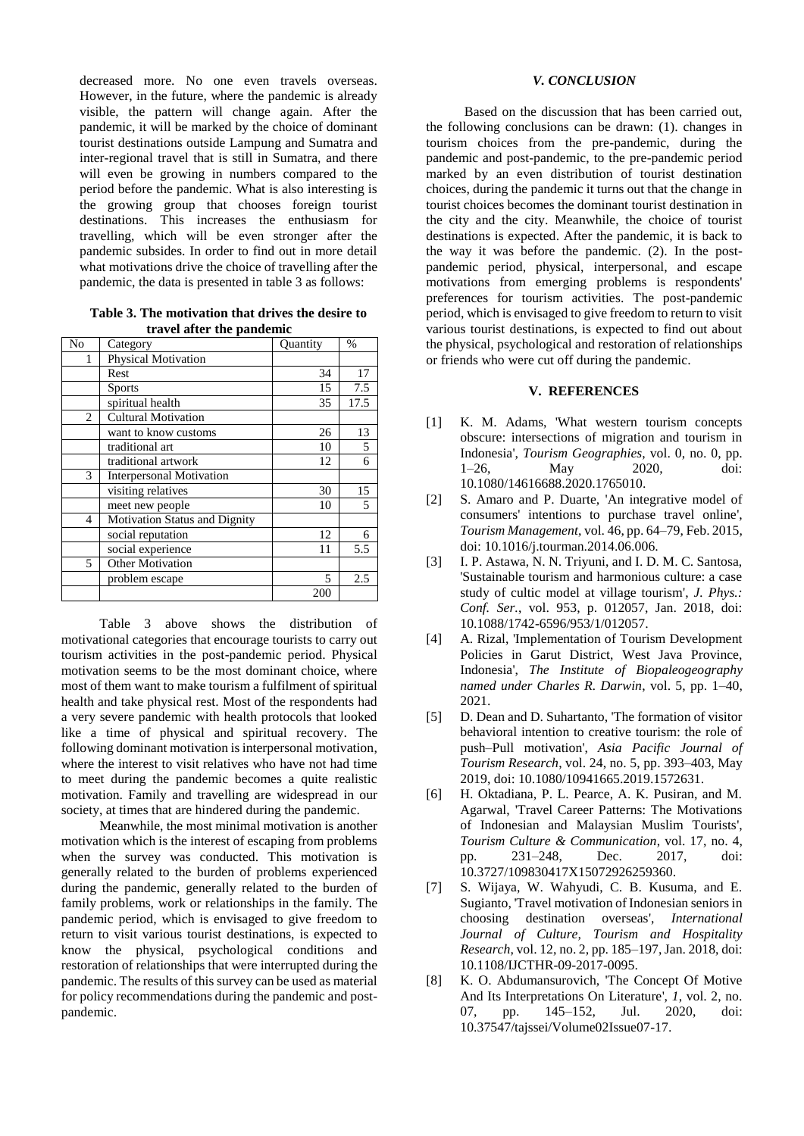decreased more. No one even travels overseas. However, in the future, where the pandemic is already visible, the pattern will change again. After the pandemic, it will be marked by the choice of dominant tourist destinations outside Lampung and Sumatra and inter-regional travel that is still in Sumatra, and there will even be growing in numbers compared to the period before the pandemic. What is also interesting is the growing group that chooses foreign tourist destinations. This increases the enthusiasm for travelling, which will be even stronger after the pandemic subsides. In order to find out in more detail what motivations drive the choice of travelling after the pandemic, the data is presented in table 3 as follows:

**Table 3. The motivation that drives the desire to travel after the pandemic**

| No             | Category                             | <b>Quantity</b> | %    |
|----------------|--------------------------------------|-----------------|------|
|                | <b>Physical Motivation</b>           |                 |      |
|                | Rest                                 | 34              | 17   |
|                | <b>Sports</b>                        | 15              | 7.5  |
|                | spiritual health                     | 35              | 17.5 |
| $\overline{2}$ | <b>Cultural Motivation</b>           |                 |      |
|                | want to know customs                 | 26              | 13   |
|                | traditional art                      | 10              | 5    |
|                | traditional artwork                  | 12              | 6    |
| 3              | <b>Interpersonal Motivation</b>      |                 |      |
|                | visiting relatives                   | 30              | 15   |
|                | meet new people                      | 10              | 5    |
| $\overline{4}$ | <b>Motivation Status and Dignity</b> |                 |      |
|                | social reputation                    | 12              | 6    |
|                | social experience                    | 11              | 5.5  |
| 5              | <b>Other Motivation</b>              |                 |      |
|                | problem escape                       | 5               | 2.5  |
|                |                                      | 200             |      |

Table 3 above shows the distribution of motivational categories that encourage tourists to carry out tourism activities in the post-pandemic period. Physical motivation seems to be the most dominant choice, where most of them want to make tourism a fulfilment of spiritual health and take physical rest. Most of the respondents had a very severe pandemic with health protocols that looked like a time of physical and spiritual recovery. The following dominant motivation is interpersonal motivation, where the interest to visit relatives who have not had time to meet during the pandemic becomes a quite realistic motivation. Family and travelling are widespread in our society, at times that are hindered during the pandemic.

Meanwhile, the most minimal motivation is another motivation which is the interest of escaping from problems when the survey was conducted. This motivation is generally related to the burden of problems experienced during the pandemic, generally related to the burden of family problems, work or relationships in the family. The pandemic period, which is envisaged to give freedom to return to visit various tourist destinations, is expected to know the physical, psychological conditions and restoration of relationships that were interrupted during the pandemic. The results of this survey can be used as material for policy recommendations during the pandemic and postpandemic.

## *V. CONCLUSION*

Based on the discussion that has been carried out, the following conclusions can be drawn: (1). changes in tourism choices from the pre-pandemic, during the pandemic and post-pandemic, to the pre-pandemic period marked by an even distribution of tourist destination choices, during the pandemic it turns out that the change in tourist choices becomes the dominant tourist destination in the city and the city. Meanwhile, the choice of tourist destinations is expected. After the pandemic, it is back to the way it was before the pandemic. (2). In the postpandemic period, physical, interpersonal, and escape motivations from emerging problems is respondents' preferences for tourism activities. The post-pandemic period, which is envisaged to give freedom to return to visit various tourist destinations, is expected to find out about the physical, psychological and restoration of relationships or friends who were cut off during the pandemic.

# **V. REFERENCES**

- [1] K. M. Adams, 'What western tourism concepts obscure: intersections of migration and tourism in Indonesia', *Tourism Geographies*, vol. 0, no. 0, pp. 1–26, May 2020, doi: 10.1080/14616688.2020.1765010.
- [2] S. Amaro and P. Duarte, 'An integrative model of consumers' intentions to purchase travel online', *Tourism Management*, vol. 46, pp. 64–79, Feb. 2015, doi: 10.1016/j.tourman.2014.06.006.
- [3] I. P. Astawa, N. N. Triyuni, and I. D. M. C. Santosa, 'Sustainable tourism and harmonious culture: a case study of cultic model at village tourism', *J. Phys.: Conf. Ser.*, vol. 953, p. 012057, Jan. 2018, doi: 10.1088/1742-6596/953/1/012057.
- [4] A. Rizal, 'Implementation of Tourism Development Policies in Garut District, West Java Province, Indonesia', *The Institute of Biopaleogeography named under Charles R. Darwin*, vol. 5, pp. 1–40, 2021.
- [5] D. Dean and D. Suhartanto, 'The formation of visitor behavioral intention to creative tourism: the role of push–Pull motivation', *Asia Pacific Journal of Tourism Research*, vol. 24, no. 5, pp. 393–403, May 2019, doi: 10.1080/10941665.2019.1572631.
- [6] H. Oktadiana, P. L. Pearce, A. K. Pusiran, and M. Agarwal, 'Travel Career Patterns: The Motivations of Indonesian and Malaysian Muslim Tourists', *Tourism Culture & Communication*, vol. 17, no. 4, pp. 231–248, Dec. 2017, doi: 10.3727/109830417X15072926259360.
- [7] S. Wijaya, W. Wahyudi, C. B. Kusuma, and E. Sugianto, 'Travel motivation of Indonesian seniors in choosing destination overseas', *International Journal of Culture, Tourism and Hospitality Research*, vol. 12, no. 2, pp. 185–197, Jan. 2018, doi: 10.1108/IJCTHR-09-2017-0095.
- [8] K. O. Abdumansurovich, 'The Concept Of Motive And Its Interpretations On Literature', *1*, vol. 2, no. 07, pp. 145–152, Jul. 2020, doi: 10.37547/tajssei/Volume02Issue07-17.